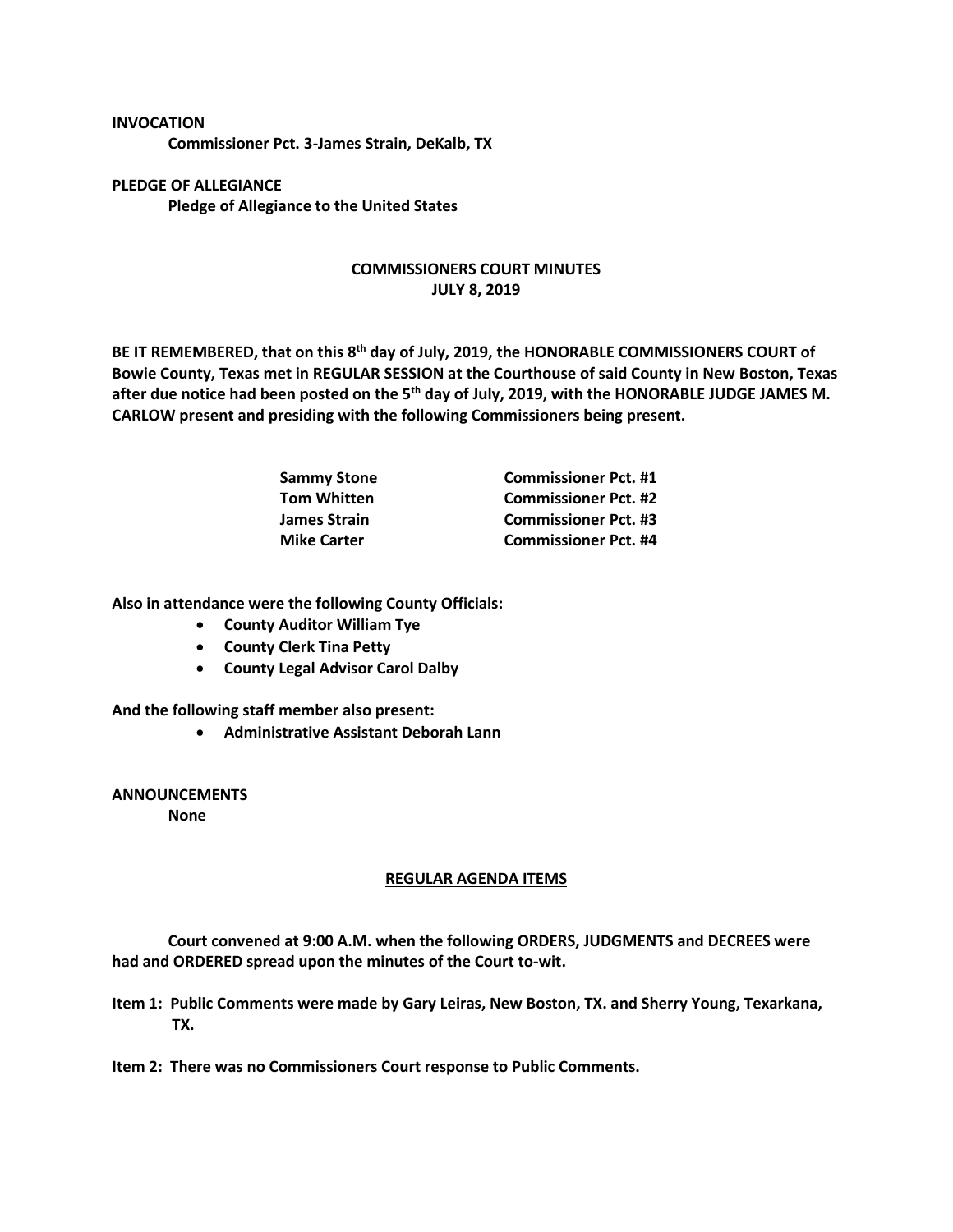## **INVOCATION**

**Commissioner Pct. 3-James Strain, DeKalb, TX**

**PLEDGE OF ALLEGIANCE Pledge of Allegiance to the United States**

## **COMMISSIONERS COURT MINUTES JULY 8, 2019**

**BE IT REMEMBERED, that on this 8th day of July, 2019, the HONORABLE COMMISSIONERS COURT of Bowie County, Texas met in REGULAR SESSION at the Courthouse of said County in New Boston, Texas after due notice had been posted on the 5th day of July, 2019, with the HONORABLE JUDGE JAMES M. CARLOW present and presiding with the following Commissioners being present.**

| <b>Sammy Stone</b> | <b>Commissioner Pct. #1</b> |
|--------------------|-----------------------------|
| <b>Tom Whitten</b> | <b>Commissioner Pct. #2</b> |
| James Strain       | <b>Commissioner Pct. #3</b> |
| <b>Mike Carter</b> | <b>Commissioner Pct. #4</b> |

**Also in attendance were the following County Officials:**

- **County Auditor William Tye**
- **County Clerk Tina Petty**
- **County Legal Advisor Carol Dalby**

**And the following staff member also present:**

• **Administrative Assistant Deborah Lann**

**ANNOUNCEMENTS None**

## **REGULAR AGENDA ITEMS**

**Court convened at 9:00 A.M. when the following ORDERS, JUDGMENTS and DECREES were had and ORDERED spread upon the minutes of the Court to-wit.**

- **Item 1: Public Comments were made by Gary Leiras, New Boston, TX. and Sherry Young, Texarkana, TX.**
- **Item 2: There was no Commissioners Court response to Public Comments.**